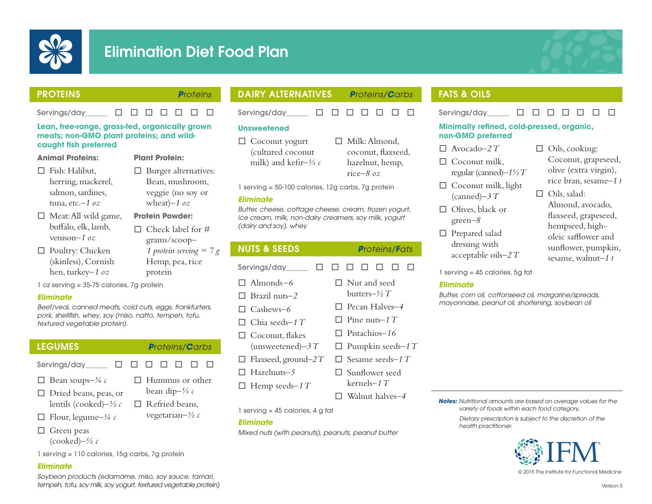

# Elimination Diet Food Plan



### PROTEINS *Proteins*

 $Servings/day$   $\Box$   $\Box$   $\Box$   $\Box$   $\Box$   $\Box$   $\Box$ 

**Plant Protein:**

#### **Lean, free-range, grass-fed, organically grown meats; non-GMO plant proteins; and wildcaught fish preferred**

#### **Animal Proteins:**

- $\Box$  Fish: Halibut, herring, mackerel, salmon, sardines,
- $\Box$  Meat: All wild game, buffalo, elk, lamb, venison*–1 oz*

tuna, etc.–*1 oz*

- $\Box$  Poultry: Chicken (skinless), Cornish hen, turkey*–1 oz*
- **Protein Powder:**  $\Box$  Check label for # grams/scoop*– 1 protein serving = 7 g*  Hemp, pea, rice protein

 $\Box$  Burger alternatives: Bean, mushroom, veggie (no soy or wheat)*–1 oz*

1 oz serving = 35-75 calories, 7g protein

#### *Eliminate*

*Beef/veal, canned meats, cold cuts, eggs, frankfurters, pork, shellfish, whey, soy (miso, natto, tempeh, tofu, textured vegetable protein).*

#### LEGUMES *Proteins/Carbs*

 $\Box$  Hummus or other bean dip*–⅓ c*  $\Box$  Refried beans, vegetarian*–½ c*

- Servings/day  $\Box$   $\Box$   $\Box$   $\Box$   $\Box$   $\Box$
- □ Bean soups– $\frac{3}{4}$  c
- $\Box$  Dried beans, peas, or
- lentils (cooked)*–½ c*
- $\Box$  Flour, legume– $\frac{1}{4}c$
- $\Box$  Green peas (cooked)*–½ c*

1 serving = 110 calories, 15g carbs, 7g protein

#### *Eliminate*

*Soybean products (edamame, miso, soy sauce, tamari, tempeh, tofu, soy milk, soy yogurt, textured vegetable protein)*

# DAIRY ALTERNATIVES *Proteins/Carbs*

Servinas/day  $\Box$   $\Box$   $\Box$   $\Box$   $\Box$   $\Box$   $\Box$ 

 $\Box$  Milk: Almond, coconut, flaxseed, hazelnut, hemp, rice*–8 oz*

 $\Box$  Walnut halves-4

#### **Unsweetened**

 $\Box$  Coconut yogurt (cultured coconut milk) and kefir*–⅓ c*

1 serving = 50-100 calories, 12g carbs, 7g protein

#### *Eliminate*

*Butter, cheese, cottage cheese, cream, frozen yogurt, ice cream, milk, non-dairy creamers, soy milk, yogurt (dairy and soy), whey*

| <b>NUTS &amp; SEEDS</b>                  | <b>Proteins/Fats</b>                           |
|------------------------------------------|------------------------------------------------|
| Servings/day____                         | U.<br>H                                        |
| $\Box$ Almonds-6<br>$\Box$ Brazil nuts–2 | $\Box$ Nut and seed<br>butters $-\frac{1}{2}T$ |
| $\Box$ Cashews-6                         | $\Box$ Pecan Halves-4                          |
| $\Box$ Chia seeds–1 T                    | $\Box$ Pine nuts–1 T                           |
| $\Box$ Coconut, flakes                   | $\Box$ Pistachios-16                           |
| (unsweetened) $-3T$                      | $\Box$ Pumpkin seeds-1 T                       |
| $\Box$ Flaxseed, ground-2 T              | $\Box$ Sesame seeds–1 T                        |
| $\Box$ Hazelnuts-5                       | $\Box$ Sunflower seed                          |
| $\Box$ Hemp seeds-1 T                    | kernels–1 $T$                                  |

1 serving = 45 calories, 4 g fat

#### *Eliminate*

*Mixed nuts (with peanuts), peanuts, peanut butter*

# FATS & OILS

Servinas/day  $\Box$   $\Box$   $\Box$   $\Box$   $\Box$   $\Box$   $\Box$ 

#### **Minimally refined, cold-pressed, organic, non-GMO preferred**

- $\Box$  Avocado–2 T
- $\Box$  Coconut milk. regular (canned)*–1½ T*
- $\Box$  Coconut milk, light (canned)*–3 T*
- $\Box$  Olives, black or green*–8*
- $\Box$  Prepared salad dressing with acceptable oils*–2 T*
- $\Box$  Oils, cooking: Coconut, grapeseed, olive (extra virgin), rice bran, sesame*–1 t*
- $\Box$  Oils, salad: Almond, avocado, flaxseed, grapeseed, hempseed, higholeic safflower and sunflower, pumpkin, sesame, walnut*–1 t*

1 serving = 45 calories, 5g fat

#### *Eliminate*

*Butter, corn oil, cottonseed oil, margarine/spreads, mayonnaise, peanut oil, shortening, soybean oil*

*Notes: Nutritional amounts are based on average values for the variety of foods within each food category.*

*Dietary prescription is subject to the discretion of the health practitioner.*



© 2015 The Institute for Functional Medicine